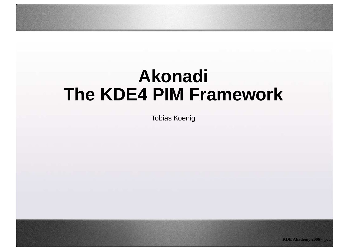#### **AkonadiThe KDE4 PIM Framework**

Tobias Koenig

**KDE Akademy 2006 – p. 1**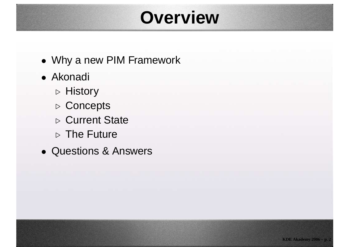## **Overview**

- Why <sup>a</sup> new PIM Framework
- Akonadi
	- ⊲ History
	- ⊲ Concepts
	- ⊲ Current State
	- ⊳ The Future
- Questions & Answers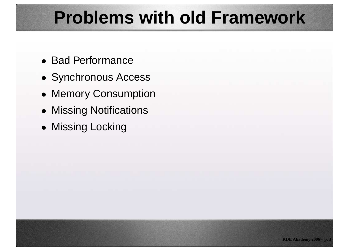## **Problems with old Framework**

- Bad Performance
- Synchronous Access
- Memory Consumption
- Missing Notifications
- Missing Locking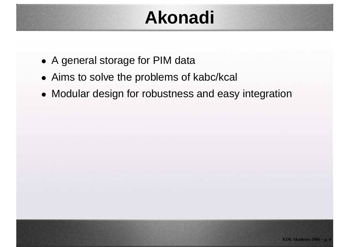## **Akonadi**

- <sup>A</sup> general storage for PIM data
- Aims to solve the problems of kabc/kcal
- Modular design for robustness and easy integration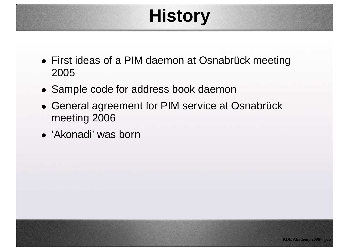# **History**

- First ideas of <sup>a</sup> PIM daemon at Osnabrück meeting2005
- Sample code for address book daemon
- General agreement for PIM service at Osnabrückmeeting 2006
- 'Akonadi' was born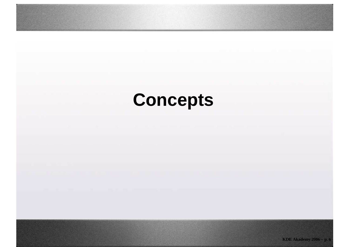# **Concepts**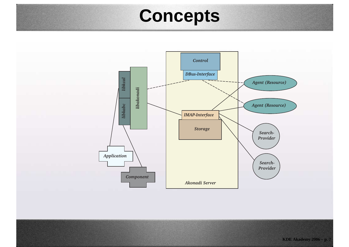#### **Concepts**

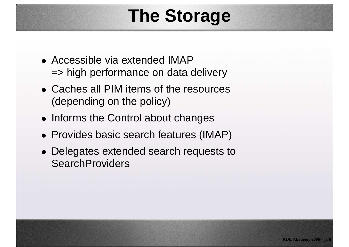## **The Storage**

- Accessible via extended IMAP=> high performance on data delivery
- Caches all PIM items of the resources(depending on the policy)
- Informs the Control about changes
- Provides basic search features (IMAP)
- Delegates extended search requests to**SearchProviders**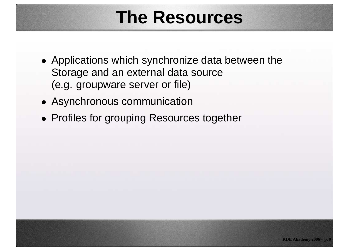#### **The Resources**

- Applications which synchronize data between theStorage and an external data source(e.g. groupware server or file)
- Asynchronous communication
- Profiles for grouping Resources together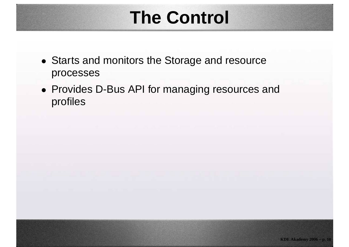## **The Control**

- Starts and monitors the Storage and resourceprocesses
- Provides D-Bus API for managing resources andprofiles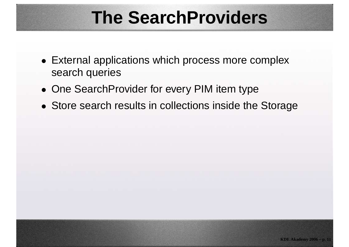## **The SearchProviders**

- External applications which process more complexsearch queries
- One SearchProvider for every PIM item type
- Store search results in collections inside the Storage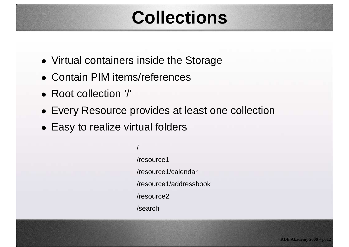## **Collections**

- Virtual containers inside the Storage
- Contain PIM items/references
- Root collection '/'
- Every Resource provides at least one collection
- Easy to realize virtual folders

//resource1/resource1/calendar/resource1/addressbook/resource2/search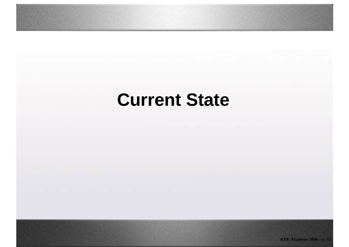## **Current State**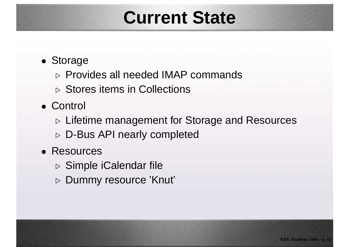#### **Current State**

- Storage
	- $\triangleright$  Provides all needed IMAP commands
	- ⊲ Stores items in Collections
- Control
	- ⊳ Lifetime management for Storage and Resources
	- ⊳ D-Bus API nearly completed
- Resources
	- ⊳ Simple iCalendar file
	- ⊲ Dummy resource 'Knut'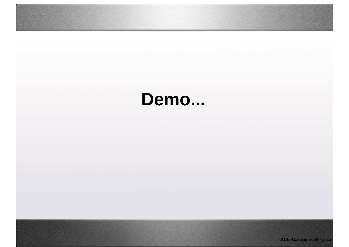## **Demo...**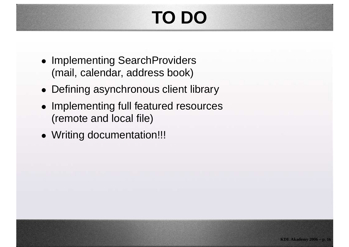# **TO DO**

- Implementing SearchProviders(mail, calendar, address book)
- Defining asynchronous client library
- Implementing full featured resources(remote and local file)
- Writing documentation!!!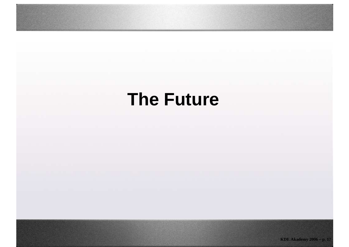## **The Future**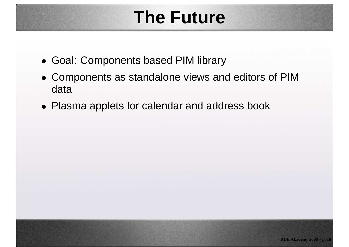## **The Future**

- Goal: Components based PIM library
- Components as standalone views and editors of PIMdata
- Plasma applets for calendar and address book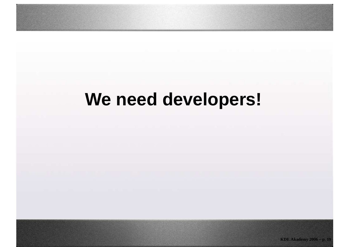## **We need developers!**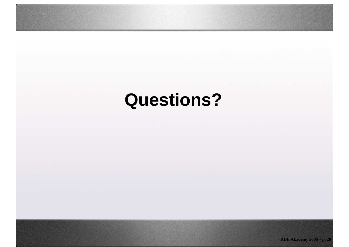# **Questions?**